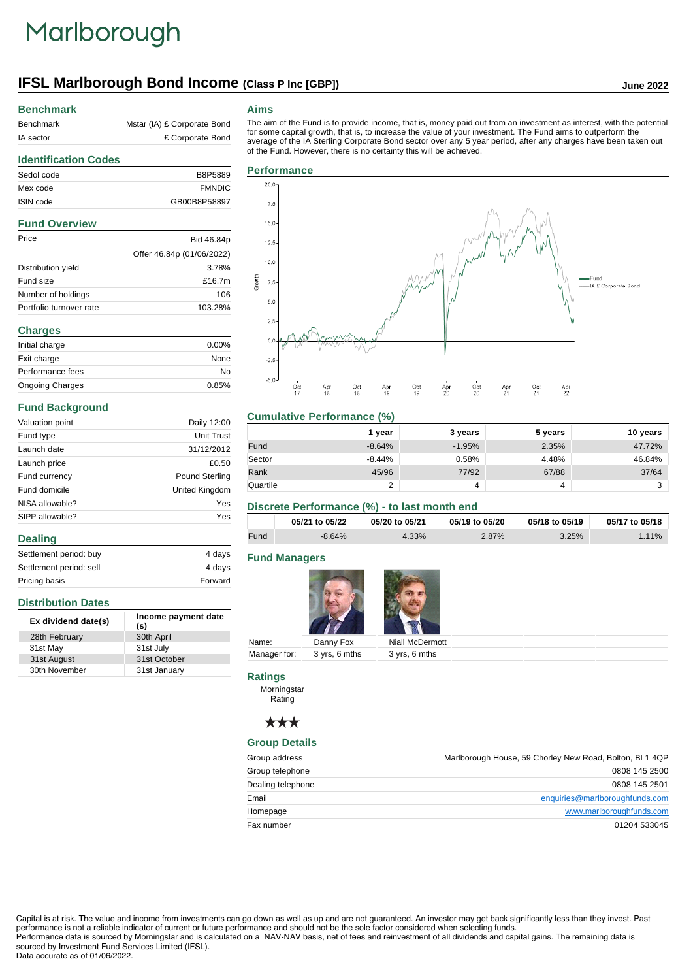# Marlborough

# **IFSL Marlborough Bond Income (Class P Inc [GBP]) June 2022**

# **Benchmark**

| Benchmark | Mstar (IA) £ Corporate Bond |
|-----------|-----------------------------|
| IA sector | £ Corporate Bond            |

#### **Aims**

The aim of the Fund is to provide income, that is, money paid out from an investment as interest, with the potential for some capital growth, that is, to increase the value of your investment. The Fund aims to outperform the average of the IA Sterling Corporate Bond sector over any 5 year period, after any charges have been taken out of the Fund. However, there is no certainty this will be achieved.

## **Identification Codes** Sedol code B8P5889

| Mex code             | <b>FMNDIC</b>             |
|----------------------|---------------------------|
| ISIN code            | GB00B8P58897              |
| <b>Fund Overview</b> |                           |
| Price                | Bid 46.84p                |
|                      | Offer 46.84p (01/06/2022) |
| Distribution yield   | 3.78%                     |

| Distribution yield      | 3.78%     |
|-------------------------|-----------|
| Fund size               | £16.7 $m$ |
| Number of holdings      | 106       |
| Portfolio turnover rate | 103.28%   |

# **Charges**

| Initial charge         | $0.00\%$ |
|------------------------|----------|
| Exit charge            | None     |
| Performance fees       | No       |
| <b>Ongoing Charges</b> | 0.85%    |

## **Fund Background**

| Valuation point | Daily 12:00    |
|-----------------|----------------|
| Fund type       | Unit Trust     |
| Launch date     | 31/12/2012     |
| Launch price    | £0.50          |
| Fund currency   | Pound Sterling |
| Fund domicile   | United Kingdom |
| NISA allowable? | Yes            |
| SIPP allowable? | Yes            |
| <b>Dealing</b>  |                |

| 4 days  |
|---------|
| 4 days  |
| Forward |
|         |

# **Distribution Dates**

| Ex dividend date(s) | Income payment date<br>(s) |
|---------------------|----------------------------|
| 28th February       | 30th April                 |
| 31st May            | 31st July                  |
| 31st August         | 31st October               |
| 30th November       | 31st January               |



# **Cumulative Performance (%)**

|          | 1 vear   | 3 years  | 5 years | 10 years |
|----------|----------|----------|---------|----------|
| Fund     | $-8.64%$ | $-1.95%$ | 2.35%   | 47.72%   |
| Sector   | $-8.44%$ | 0.58%    | 4.48%   | 46.84%   |
| Rank     | 45/96    | 77/92    | 67/88   | 37/64    |
| Quartile | ⌒<br>ے   |          | 4       | 2        |

# **Discrete Performance (%) - to last month end**

|      | 05/21 to 05/22 | 05/20 to 05/21 | 05/19 to 05/20 | 05/18 to 05/19 | 05/17 to 05/18 |
|------|----------------|----------------|----------------|----------------|----------------|
| Fund | $-8.64%$       | 4.33%          | 2.87%          | 3.25%          | $1.11\%$       |

# **Fund Managers**



|       |                            | the contract of the contract of the contract of the contract of the contract of |  |
|-------|----------------------------|---------------------------------------------------------------------------------|--|
| Name: | Danny Fox                  | Niall McDermott                                                                 |  |
|       | Manager for: 3 yrs, 6 mths | 3 yrs, 6 mths                                                                   |  |
|       |                            |                                                                                 |  |

# **Ratings**

Morningstar **Rating** 

# \*\*\*

# **Group Details**

| Group address     | Marlborough House, 59 Chorley New Road, Bolton, BL1 4QP |
|-------------------|---------------------------------------------------------|
| Group telephone   | 0808 145 2500                                           |
| Dealing telephone | 0808 145 2501                                           |
| Email             | enquiries@marlboroughfunds.com                          |
| Homepage          | www.marlboroughfunds.com                                |
| Fax number        | 01204 533045                                            |

Capital is at risk. The value and income from investments can go down as well as up and are not guaranteed. An investor may get back significantly less than they invest. Past performance is not a reliable indicator of current or future performance and should not be the sole factor considered when selecting funds. Performance data is sourced by Morningstar and is calculated on a NAV-NAV basis, net of fees and reinvestment of all dividends and capital gains. The remaining data is

sourced by Investment Fund Services Limited (IFSL). Data accurate as of 01/06/2022.